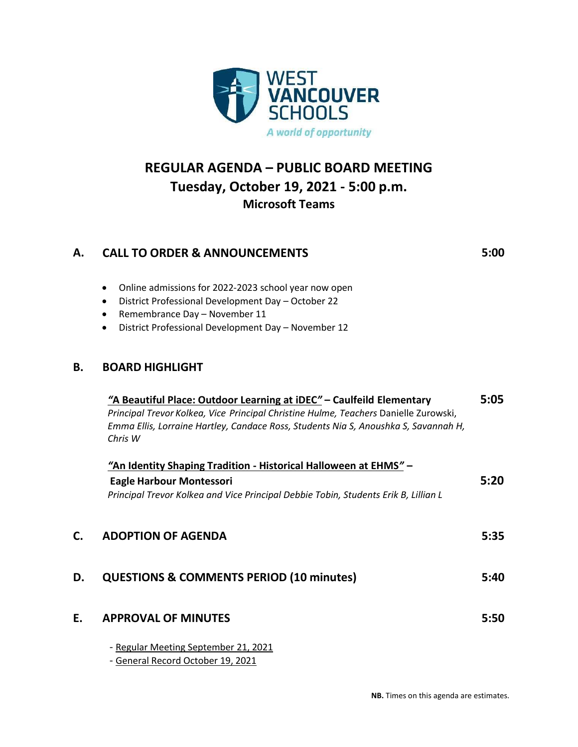

## **REGULAR AGENDA – PUBLIC BOARD MEETING Tuesday, October 19, 2021 - 5:00 p.m. Microsoft Teams**

| А. | <b>CALL TO ORDER &amp; ANNOUNCEMENTS</b>               | 5:00 |
|----|--------------------------------------------------------|------|
|    | • Online admissions for 2022-2023 school year now open |      |

- District Professional Development Day October 22
- Remembrance Day November 11
- District Professional Development Day November 12

## **B. BOARD HIGHLIGHT**

|    | "A Beautiful Place: Outdoor Learning at iDEC" - Caulfeild Elementary<br>Principal Trevor Kolkea, Vice Principal Christine Hulme, Teachers Danielle Zurowski,<br>Emma Ellis, Lorraine Hartley, Candace Ross, Students Nia S, Anoushka S, Savannah H,<br>Chris W | 5:05 |
|----|----------------------------------------------------------------------------------------------------------------------------------------------------------------------------------------------------------------------------------------------------------------|------|
|    | "An Identity Shaping Tradition - Historical Halloween at EHMS" -                                                                                                                                                                                               |      |
|    | <b>Eagle Harbour Montessori</b>                                                                                                                                                                                                                                | 5:20 |
|    | Principal Trevor Kolkea and Vice Principal Debbie Tobin, Students Erik B, Lillian L                                                                                                                                                                            |      |
| C. | <b>ADOPTION OF AGENDA</b>                                                                                                                                                                                                                                      | 5:35 |
| D. | <b>QUESTIONS &amp; COMMENTS PERIOD (10 minutes)</b>                                                                                                                                                                                                            | 5:40 |
| E. | <b>APPROVAL OF MINUTES</b>                                                                                                                                                                                                                                     | 5:50 |
|    | - Regular Meeting September 21, 2021                                                                                                                                                                                                                           |      |
|    | - General Record October 19, 2021                                                                                                                                                                                                                              |      |

**NB.** Times on this agenda are estimates.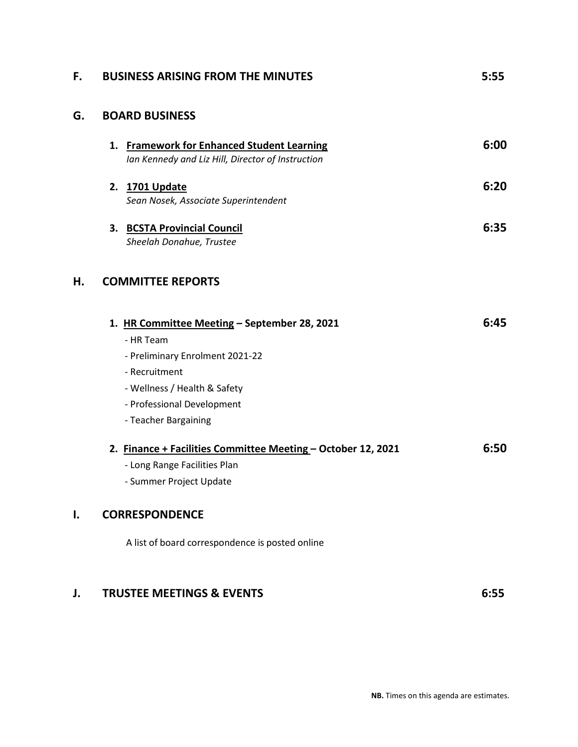| F. | <b>BUSINESS ARISING FROM THE MINUTES</b>                                                                                                                                                            | 5:55 |
|----|-----------------------------------------------------------------------------------------------------------------------------------------------------------------------------------------------------|------|
| G. | <b>BOARD BUSINESS</b>                                                                                                                                                                               |      |
|    | 1. Framework for Enhanced Student Learning<br>Ian Kennedy and Liz Hill, Director of Instruction                                                                                                     | 6:00 |
|    | 2. 1701 Update<br>Sean Nosek, Associate Superintendent                                                                                                                                              | 6:20 |
|    | 3. BCSTA Provincial Council<br>Sheelah Donahue, Trustee                                                                                                                                             | 6:35 |
| Η. | <b>COMMITTEE REPORTS</b>                                                                                                                                                                            |      |
|    | 1. HR Committee Meeting - September 28, 2021<br>- HR Team<br>- Preliminary Enrolment 2021-22<br>- Recruitment<br>- Wellness / Health & Safety<br>- Professional Development<br>- Teacher Bargaining | 6:45 |
|    | 2. Finance + Facilities Committee Meeting - October 12, 2021<br>- Long Range Facilities Plan<br>- Summer Project Update                                                                             | 6:50 |
| I. | <b>CORRESPONDENCE</b>                                                                                                                                                                               |      |
|    | A list of board correspondence is posted online                                                                                                                                                     |      |
| J. | <b>TRUSTEE MEETINGS &amp; EVENTS</b>                                                                                                                                                                | 6:55 |